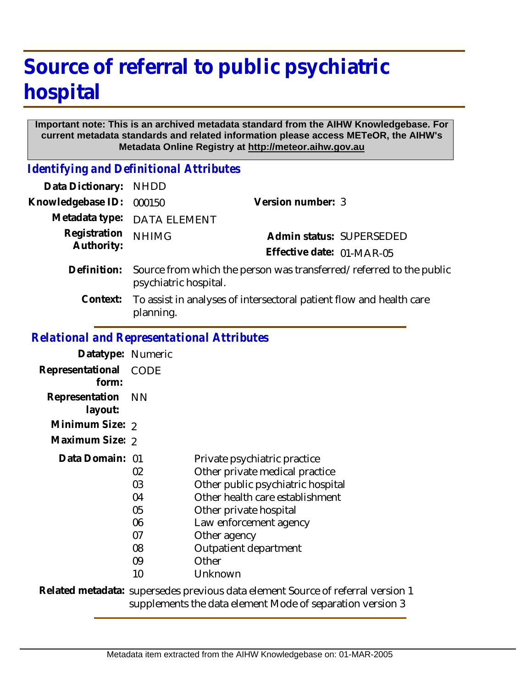## **Source of referral to public psychiatric hospital**

## **Important note: This is an archived metadata standard from the AIHW Knowledgebase. For current metadata standards and related information please access METeOR, the AIHW's Metadata Online Registry at http://meteor.aihw.gov.au**

*Identifying and Definitional Attributes*

| <b>NHDD</b>                                                                                  |                           |  |
|----------------------------------------------------------------------------------------------|---------------------------|--|
| 000150                                                                                       | Version number: 3         |  |
| <b>DATA ELEMENT</b>                                                                          |                           |  |
| <b>NHIMG</b>                                                                                 | Admin status: SUPERSEDED  |  |
|                                                                                              | Effective date: 01-MAR-05 |  |
| Source from which the person was transferred/referred to the public<br>psychiatric hospital. |                           |  |
| To assist in analyses of intersectoral patient flow and health care<br>planning.             |                           |  |
|                                                                                              |                           |  |

## *Relational and Representational Attributes*

| Datatype: Numeric         |                                                    |                                                                                                                                                                                                                                                         |
|---------------------------|----------------------------------------------------|---------------------------------------------------------------------------------------------------------------------------------------------------------------------------------------------------------------------------------------------------------|
| Representational<br>form: | <b>CODE</b>                                        |                                                                                                                                                                                                                                                         |
| Representation<br>layout: | - NN                                               |                                                                                                                                                                                                                                                         |
| Minimum Size: 2           |                                                    |                                                                                                                                                                                                                                                         |
| Maximum Size: 2           |                                                    |                                                                                                                                                                                                                                                         |
| Data Domain: 01           | 02<br>03<br>04<br>05<br>06<br>07<br>08<br>09<br>10 | Private psychiatric practice<br>Other private medical practice<br>Other public psychiatric hospital<br>Other health care establishment<br>Other private hospital<br>Law enforcement agency<br>Other agency<br>Outpatient department<br>Other<br>Unknown |
|                           |                                                    | Related metadata: supersedes previous data element Source of referral version 1                                                                                                                                                                         |

supplements the data element Mode of separation version 3